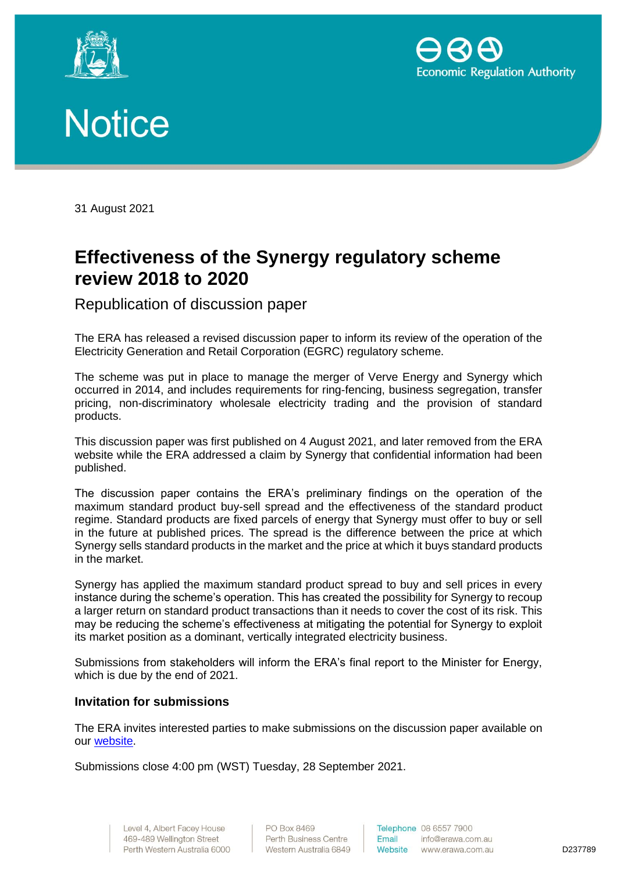





31 August 2021

## **Effectiveness of the Synergy regulatory scheme review 2018 to 2020**

Republication of discussion paper

The ERA has released a revised discussion paper to inform its review of the operation of the Electricity Generation and Retail Corporation (EGRC) regulatory scheme.

The scheme was put in place to manage the merger of Verve Energy and Synergy which occurred in 2014, and includes requirements for ring-fencing, business segregation, transfer pricing, non-discriminatory wholesale electricity trading and the provision of standard products.

This discussion paper was first published on 4 August 2021, and later removed from the ERA website while the ERA addressed a claim by Synergy that confidential information had been published.

The discussion paper contains the ERA's preliminary findings on the operation of the maximum standard product buy-sell spread and the effectiveness of the standard product regime. Standard products are fixed parcels of energy that Synergy must offer to buy or sell in the future at published prices. The spread is the difference between the price at which Synergy sells standard products in the market and the price at which it buys standard products in the market.

Synergy has applied the maximum standard product spread to buy and sell prices in every instance during the scheme's operation. This has created the possibility for Synergy to recoup a larger return on standard product transactions than it needs to cover the cost of its risk. This may be reducing the scheme's effectiveness at mitigating the potential for Synergy to exploit its market position as a dominant, vertically integrated electricity business.

Submissions from stakeholders will inform the ERA's final report to the Minister for Energy, which is due by the end of 2021.

## **Invitation for submissions**

The ERA invites interested parties to make submissions on the discussion paper available on our [website.](https://www.erawa.com.au/electricity/wholesale-electricity-market/synergys-regulatory-scheme)

Submissions close 4:00 pm (WST) Tuesday, 28 September 2021.